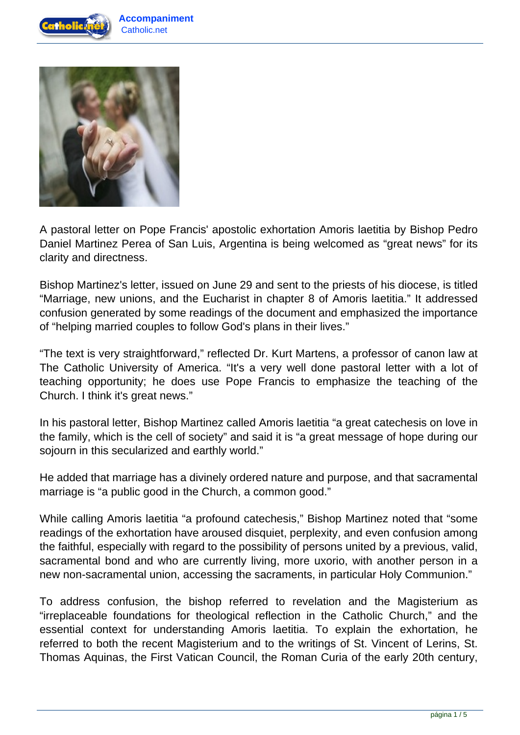



A pastoral letter on Pope Francis' apostolic exhortation Amoris laetitia by Bishop Pedro Daniel Martinez Perea of San Luis, Argentina is being welcomed as "great news" for its clarity and directness.

Bishop Martinez's letter, issued on June 29 and sent to the priests of his diocese, is titled "Marriage, new unions, and the Eucharist in chapter 8 of Amoris laetitia." It addressed confusion generated by some readings of the document and emphasized the importance of "helping married couples to follow God's plans in their lives."

"The text is very straightforward," reflected Dr. Kurt Martens, a professor of canon law at The Catholic University of America. "It's a very well done pastoral letter with a lot of teaching opportunity; he does use Pope Francis to emphasize the teaching of the Church. I think it's great news."

In his pastoral letter, Bishop Martinez called Amoris laetitia "a great catechesis on love in the family, which is the cell of society" and said it is "a great message of hope during our sojourn in this secularized and earthly world."

He added that marriage has a divinely ordered nature and purpose, and that sacramental marriage is "a public good in the Church, a common good."

While calling Amoris laetitia "a profound catechesis," Bishop Martinez noted that "some readings of the exhortation have aroused disquiet, perplexity, and even confusion among the faithful, especially with regard to the possibility of persons united by a previous, valid, sacramental bond and who are currently living, more uxorio, with another person in a new non-sacramental union, accessing the sacraments, in particular Holy Communion."

To address confusion, the bishop referred to revelation and the Magisterium as "irreplaceable foundations for theological reflection in the Catholic Church," and the essential context for understanding Amoris laetitia. To explain the exhortation, he referred to both the recent Magisterium and to the writings of St. Vincent of Lerins, St. Thomas Aquinas, the First Vatican Council, the Roman Curia of the early 20th century,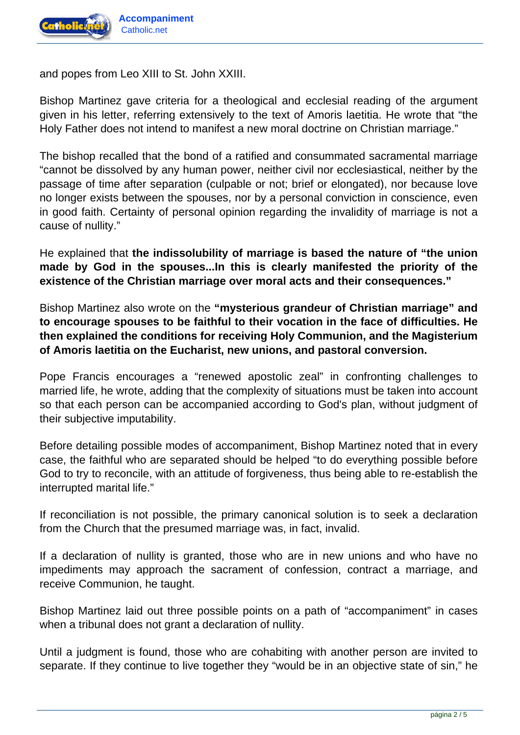

and popes from Leo XIII to St. John XXIII.

Bishop Martinez gave criteria for a theological and ecclesial reading of the argument given in his letter, referring extensively to the text of Amoris laetitia. He wrote that "the Holy Father does not intend to manifest a new moral doctrine on Christian marriage."

The bishop recalled that the bond of a ratified and consummated sacramental marriage "cannot be dissolved by any human power, neither civil nor ecclesiastical, neither by the passage of time after separation (culpable or not; brief or elongated), nor because love no longer exists between the spouses, nor by a personal conviction in conscience, even in good faith. Certainty of personal opinion regarding the invalidity of marriage is not a cause of nullity."

He explained that **the indissolubility of marriage is based the nature of "the union made by God in the spouses...In this is clearly manifested the priority of the existence of the Christian marriage over moral acts and their consequences."**

Bishop Martinez also wrote on the **"mysterious grandeur of Christian marriage" and to encourage spouses to be faithful to their vocation in the face of difficulties. He then explained the conditions for receiving Holy Communion, and the Magisterium of Amoris laetitia on the Eucharist, new unions, and pastoral conversion.**

Pope Francis encourages a "renewed apostolic zeal" in confronting challenges to married life, he wrote, adding that the complexity of situations must be taken into account so that each person can be accompanied according to God's plan, without judgment of their subjective imputability.

Before detailing possible modes of accompaniment, Bishop Martinez noted that in every case, the faithful who are separated should be helped "to do everything possible before God to try to reconcile, with an attitude of forgiveness, thus being able to re-establish the interrupted marital life."

If reconciliation is not possible, the primary canonical solution is to seek a declaration from the Church that the presumed marriage was, in fact, invalid.

If a declaration of nullity is granted, those who are in new unions and who have no impediments may approach the sacrament of confession, contract a marriage, and receive Communion, he taught.

Bishop Martinez laid out three possible points on a path of "accompaniment" in cases when a tribunal does not grant a declaration of nullity.

Until a judgment is found, those who are cohabiting with another person are invited to separate. If they continue to live together they "would be in an objective state of sin," he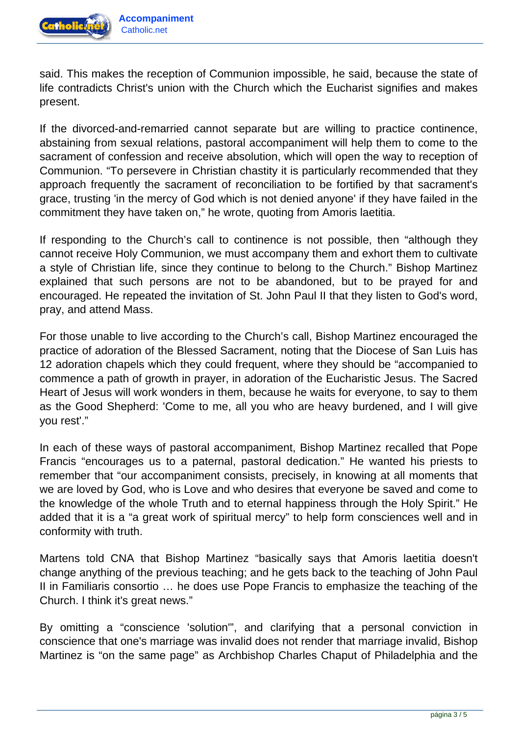

said. This makes the reception of Communion impossible, he said, because the state of life contradicts Christ's union with the Church which the Eucharist signifies and makes present.

If the divorced-and-remarried cannot separate but are willing to practice continence, abstaining from sexual relations, pastoral accompaniment will help them to come to the sacrament of confession and receive absolution, which will open the way to reception of Communion. "To persevere in Christian chastity it is particularly recommended that they approach frequently the sacrament of reconciliation to be fortified by that sacrament's grace, trusting 'in the mercy of God which is not denied anyone' if they have failed in the commitment they have taken on," he wrote, quoting from Amoris laetitia.

If responding to the Church's call to continence is not possible, then "although they cannot receive Holy Communion, we must accompany them and exhort them to cultivate a style of Christian life, since they continue to belong to the Church." Bishop Martinez explained that such persons are not to be abandoned, but to be prayed for and encouraged. He repeated the invitation of St. John Paul II that they listen to God's word, pray, and attend Mass.

For those unable to live according to the Church's call, Bishop Martinez encouraged the practice of adoration of the Blessed Sacrament, noting that the Diocese of San Luis has 12 adoration chapels which they could frequent, where they should be "accompanied to commence a path of growth in prayer, in adoration of the Eucharistic Jesus. The Sacred Heart of Jesus will work wonders in them, because he waits for everyone, to say to them as the Good Shepherd: 'Come to me, all you who are heavy burdened, and I will give you rest'."

In each of these ways of pastoral accompaniment, Bishop Martinez recalled that Pope Francis "encourages us to a paternal, pastoral dedication." He wanted his priests to remember that "our accompaniment consists, precisely, in knowing at all moments that we are loved by God, who is Love and who desires that everyone be saved and come to the knowledge of the whole Truth and to eternal happiness through the Holy Spirit." He added that it is a "a great work of spiritual mercy" to help form consciences well and in conformity with truth.

Martens told CNA that Bishop Martinez "basically says that Amoris laetitia doesn't change anything of the previous teaching; and he gets back to the teaching of John Paul II in Familiaris consortio … he does use Pope Francis to emphasize the teaching of the Church. I think it's great news."

By omitting a "conscience 'solution'", and clarifying that a personal conviction in conscience that one's marriage was invalid does not render that marriage invalid, Bishop Martinez is "on the same page" as Archbishop Charles Chaput of Philadelphia and the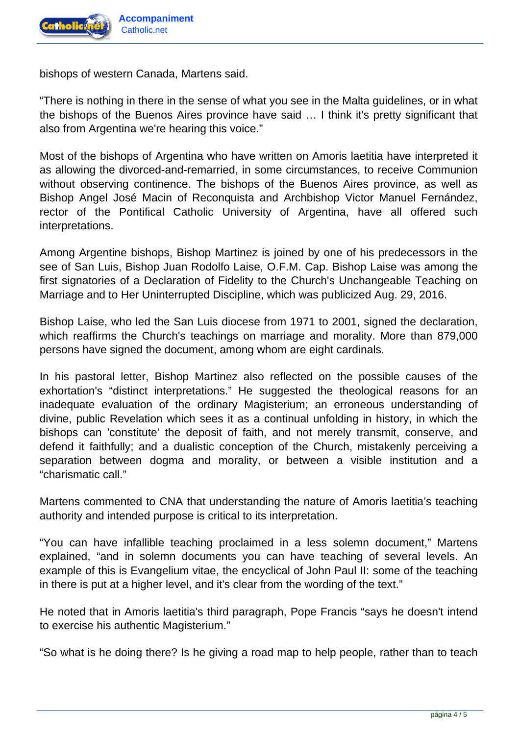

bishops of western Canada, Martens said.

"There is nothing in there in the sense of what you see in the Malta guidelines, or in what the bishops of the Buenos Aires province have said … I think it's pretty significant that also from Argentina we're hearing this voice."

Most of the bishops of Argentina who have written on Amoris laetitia have interpreted it as allowing the divorced-and-remarried, in some circumstances, to receive Communion without observing continence. The bishops of the Buenos Aires province, as well as Bishop Angel José Macin of Reconquista and Archbishop Victor Manuel Fernández, rector of the Pontifical Catholic University of Argentina, have all offered such interpretations.

Among Argentine bishops, Bishop Martinez is joined by one of his predecessors in the see of San Luis, Bishop Juan Rodolfo Laise, O.F.M. Cap. Bishop Laise was among the first signatories of a Declaration of Fidelity to the Church's Unchangeable Teaching on Marriage and to Her Uninterrupted Discipline, which was publicized Aug. 29, 2016.

Bishop Laise, who led the San Luis diocese from 1971 to 2001, signed the declaration, which reaffirms the Church's teachings on marriage and morality. More than 879,000 persons have signed the document, among whom are eight cardinals.

In his pastoral letter, Bishop Martinez also reflected on the possible causes of the exhortation's "distinct interpretations." He suggested the theological reasons for an inadequate evaluation of the ordinary Magisterium; an erroneous understanding of divine, public Revelation which sees it as a continual unfolding in history, in which the bishops can 'constitute' the deposit of faith, and not merely transmit, conserve, and defend it faithfully; and a dualistic conception of the Church, mistakenly perceiving a separation between dogma and morality, or between a visible institution and a "charismatic call."

Martens commented to CNA that understanding the nature of Amoris laetitia's teaching authority and intended purpose is critical to its interpretation.

"You can have infallible teaching proclaimed in a less solemn document," Martens explained, "and in solemn documents you can have teaching of several levels. An example of this is Evangelium vitae, the encyclical of John Paul II: some of the teaching in there is put at a higher level, and it's clear from the wording of the text."

He noted that in Amoris laetitia's third paragraph, Pope Francis "says he doesn't intend to exercise his authentic Magisterium."

"So what is he doing there? Is he giving a road map to help people, rather than to teach